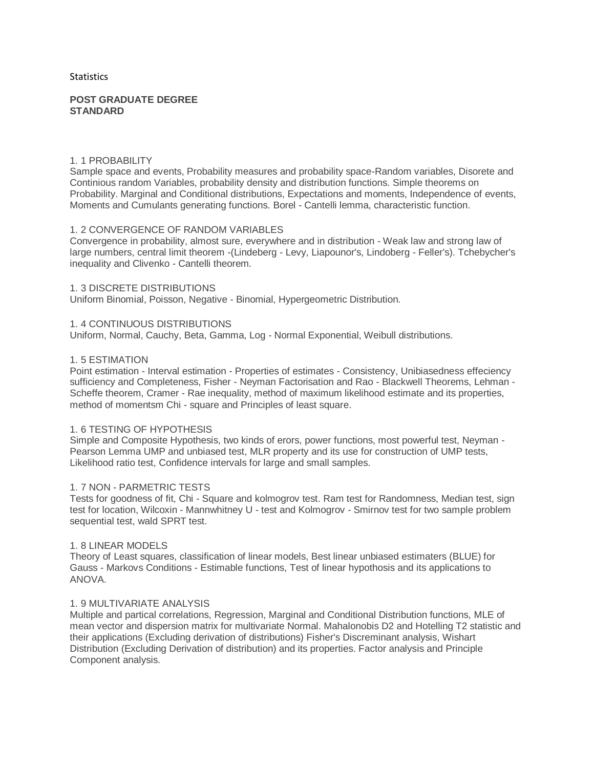#### **Statistics**

### **POST GRADUATE DEGREE STANDARD**

# 1. 1 PROBABILITY

Sample space and events, Probability measures and probability space-Random variables, Disorete and Continious random Variables, probability density and distribution functions. Simple theorems on Probability. Marginal and Conditional distributions, Expectations and moments, Independence of events, Moments and Cumulants generating functions. Borel - Cantelli lemma, characteristic function.

## 1. 2 CONVERGENCE OF RANDOM VARIABLES

Convergence in probability, almost sure, everywhere and in distribution - Weak law and strong law of large numbers, central limit theorem -(Lindeberg - Levy, Liapounor's, Lindoberg - Feller's). Tchebycher's inequality and Clivenko - Cantelli theorem.

## 1. 3 DISCRETE DISTRIBUTIONS

Uniform Binomial, Poisson, Negative - Binomial, Hypergeometric Distribution.

## 1. 4 CONTINUOUS DISTRIBUTIONS

Uniform, Normal, Cauchy, Beta, Gamma, Log - Normal Exponential, Weibull distributions.

## 1. 5 ESTIMATION

Point estimation - Interval estimation - Properties of estimates - Consistency, Unibiasedness effeciency sufficiency and Completeness, Fisher - Neyman Factorisation and Rao - Blackwell Theorems, Lehman - Scheffe theorem, Cramer - Rae inequality, method of maximum likelihood estimate and its properties, method of momentsm Chi - square and Principles of least square.

#### 1. 6 TESTING OF HYPOTHESIS

Simple and Composite Hypothesis, two kinds of erors, power functions, most powerful test, Neyman - Pearson Lemma UMP and unbiased test, MLR property and its use for construction of UMP tests, Likelihood ratio test, Confidence intervals for large and small samples.

# 1. 7 NON - PARMETRIC TESTS

Tests for goodness of fit, Chi - Square and kolmogrov test. Ram test for Randomness, Median test, sign test for location, Wilcoxin - Mannwhitney U - test and Kolmogrov - Smirnov test for two sample problem sequential test, wald SPRT test.

#### 1. 8 LINEAR MODELS

Theory of Least squares, classification of linear models, Best linear unbiased estimaters (BLUE) for Gauss - Markovs Conditions - Estimable functions, Test of linear hypothosis and its applications to ANOVA.

# 1. 9 MULTIVARIATE ANALYSIS

Multiple and partical correlations, Regression, Marginal and Conditional Distribution functions, MLE of mean vector and dispersion matrix for multivariate Normal. Mahalonobis D2 and Hotelling T2 statistic and their applications (Excluding derivation of distributions) Fisher's Discreminant analysis, Wishart Distribution (Excluding Derivation of distribution) and its properties. Factor analysis and Principle Component analysis.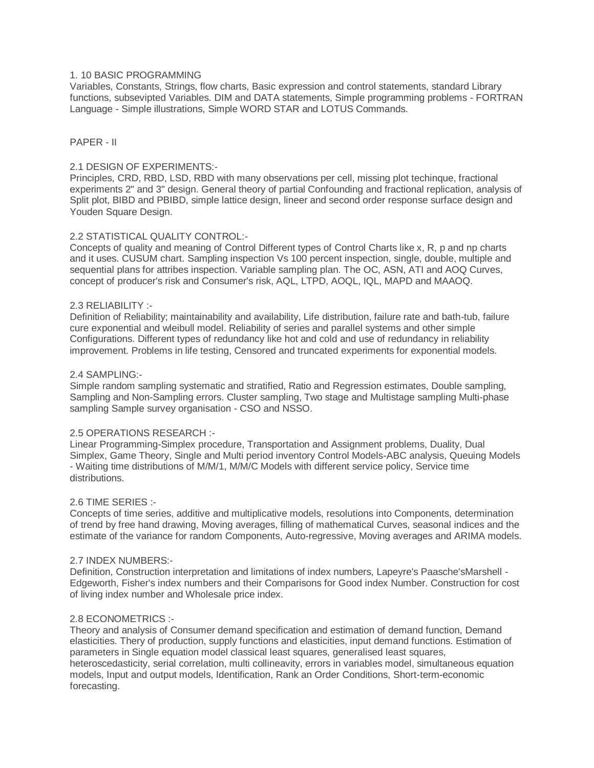# 1. 10 BASIC PROGRAMMING

Variables, Constants, Strings, flow charts, Basic expression and control statements, standard Library functions, subsevipted Variables. DIM and DATA statements, Simple programming problems - FORTRAN Language - Simple illustrations, Simple WORD STAR and LOTUS Commands.

## PAPER - II

# 2.1 DESIGN OF EXPERIMENTS:-

Principles, CRD, RBD, LSD, RBD with many observations per cell, missing plot techinque, fractional experiments 2" and 3" design. General theory of partial Confounding and fractional replication, analysis of Split plot, BIBD and PBIBD, simple lattice design, lineer and second order response surface design and Youden Square Design.

## 2.2 STATISTICAL QUALITY CONTROL:-

Concepts of quality and meaning of Control Different types of Control Charts like x, R, p and np charts and it uses. CUSUM chart. Sampling inspection Vs 100 percent inspection, single, double, multiple and sequential plans for attribes inspection. Variable sampling plan. The OC, ASN, ATI and AOQ Curves, concept of producer's risk and Consumer's risk, AQL, LTPD, AOQL, IQL, MAPD and MAAOQ.

## 2.3 RELIABILITY :-

Definition of Reliability; maintainability and availability, Life distribution, failure rate and bath-tub, failure cure exponential and wleibull model. Reliability of series and parallel systems and other simple Configurations. Different types of redundancy like hot and cold and use of redundancy in reliability improvement. Problems in life testing, Censored and truncated experiments for exponential models.

#### 2.4 SAMPLING:-

Simple random sampling systematic and stratified, Ratio and Regression estimates, Double sampling, Sampling and Non-Sampling errors. Cluster sampling, Two stage and Multistage sampling Multi-phase sampling Sample survey organisation - CSO and NSSO.

# 2.5 OPERATIONS RESEARCH :-

Linear Programming-Simplex procedure, Transportation and Assignment problems, Duality, Dual Simplex, Game Theory, Single and Multi period inventory Control Models-ABC analysis, Queuing Models - Waiting time distributions of M/M/1, M/M/C Models with different service policy, Service time distributions.

#### 2.6 TIME SERIES :-

Concepts of time series, additive and multiplicative models, resolutions into Components, determination of trend by free hand drawing, Moving averages, filling of mathematical Curves, seasonal indices and the estimate of the variance for random Components, Auto-regressive, Moving averages and ARIMA models.

#### 2.7 INDEX NUMBERS:-

Definition, Construction interpretation and limitations of index numbers, Lapeyre's Paasche'sMarshell - Edgeworth, Fisher's index numbers and their Comparisons for Good index Number. Construction for cost of living index number and Wholesale price index.

# 2.8 ECONOMETRICS :-

Theory and analysis of Consumer demand specification and estimation of demand function, Demand elasticities. Thery of production, supply functions and elasticities, input demand functions. Estimation of parameters in Single equation model classical least squares, generalised least squares, heteroscedasticity, serial correlation, multi collineavity, errors in variables model, simultaneous equation models, Input and output models, Identification, Rank an Order Conditions, Short-term-economic forecasting.